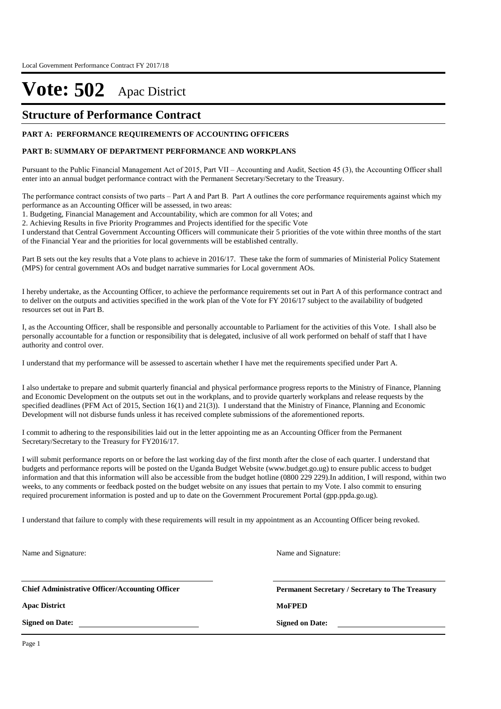### **Structure of Performance Contract**

#### **PART A: PERFORMANCE REQUIREMENTS OF ACCOUNTING OFFICERS**

#### **PART B: SUMMARY OF DEPARTMENT PERFORMANCE AND WORKPLANS**

Pursuant to the Public Financial Management Act of 2015, Part VII – Accounting and Audit, Section 45 (3), the Accounting Officer shall enter into an annual budget performance contract with the Permanent Secretary/Secretary to the Treasury.

The performance contract consists of two parts – Part A and Part B. Part A outlines the core performance requirements against which my performance as an Accounting Officer will be assessed, in two areas:

1. Budgeting, Financial Management and Accountability, which are common for all Votes; and

2. Achieving Results in five Priority Programmes and Projects identified for the specific Vote

I understand that Central Government Accounting Officers will communicate their 5 priorities of the vote within three months of the start of the Financial Year and the priorities for local governments will be established centrally.

Part B sets out the key results that a Vote plans to achieve in 2016/17. These take the form of summaries of Ministerial Policy Statement (MPS) for central government AOs and budget narrative summaries for Local government AOs.

I hereby undertake, as the Accounting Officer, to achieve the performance requirements set out in Part A of this performance contract and to deliver on the outputs and activities specified in the work plan of the Vote for FY 2016/17 subject to the availability of budgeted resources set out in Part B.

I, as the Accounting Officer, shall be responsible and personally accountable to Parliament for the activities of this Vote. I shall also be personally accountable for a function or responsibility that is delegated, inclusive of all work performed on behalf of staff that I have authority and control over.

I understand that my performance will be assessed to ascertain whether I have met the requirements specified under Part A.

I also undertake to prepare and submit quarterly financial and physical performance progress reports to the Ministry of Finance, Planning and Economic Development on the outputs set out in the workplans, and to provide quarterly workplans and release requests by the specified deadlines (PFM Act of 2015, Section 16(1) and 21(3)). I understand that the Ministry of Finance, Planning and Economic Development will not disburse funds unless it has received complete submissions of the aforementioned reports.

I commit to adhering to the responsibilities laid out in the letter appointing me as an Accounting Officer from the Permanent Secretary/Secretary to the Treasury for FY2016/17.

I will submit performance reports on or before the last working day of the first month after the close of each quarter. I understand that budgets and performance reports will be posted on the Uganda Budget Website (www.budget.go.ug) to ensure public access to budget information and that this information will also be accessible from the budget hotline (0800 229 229).In addition, I will respond, within two weeks, to any comments or feedback posted on the budget website on any issues that pertain to my Vote. I also commit to ensuring required procurement information is posted and up to date on the Government Procurement Portal (gpp.ppda.go.ug).

I understand that failure to comply with these requirements will result in my appointment as an Accounting Officer being revoked.

Name and Signature:

**Chief Administrative Officer/Accounting Officer**

**Apac District MoFPED**

**Signed on Date:**

**Permanent Secretary / Secretary to The Treasury Signed on Date:**

Name and Signature:

Page 1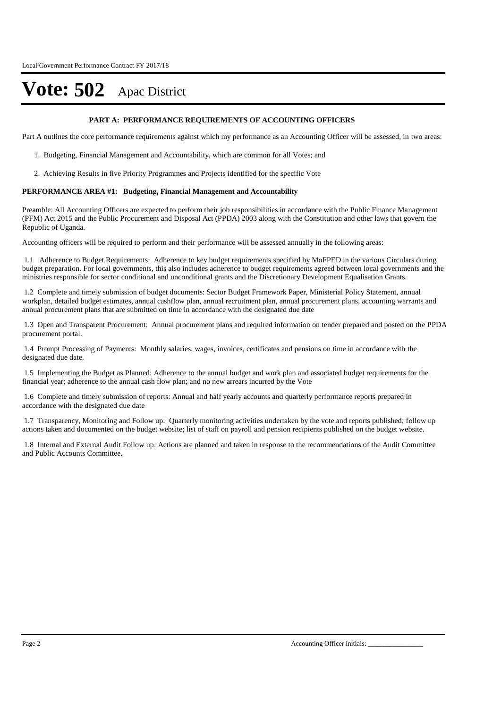#### **PART A: PERFORMANCE REQUIREMENTS OF ACCOUNTING OFFICERS**

Part A outlines the core performance requirements against which my performance as an Accounting Officer will be assessed, in two areas:

- 1. Budgeting, Financial Management and Accountability, which are common for all Votes; and
- 2. Achieving Results in five Priority Programmes and Projects identified for the specific Vote

#### **PERFORMANCE AREA #1: Budgeting, Financial Management and Accountability**

Preamble: All Accounting Officers are expected to perform their job responsibilities in accordance with the Public Finance Management (PFM) Act 2015 and the Public Procurement and Disposal Act (PPDA) 2003 along with the Constitution and other laws that govern the Republic of Uganda.

Accounting officers will be required to perform and their performance will be assessed annually in the following areas:

1.1 Adherence to Budget Requirements: Adherence to key budget requirements specified by MoFPED in the various Circulars during budget preparation. For local governments, this also includes adherence to budget requirements agreed between local governments and the ministries responsible for sector conditional and unconditional grants and the Discretionary Development Equalisation Grants.

1.2 Complete and timely submission of budget documents: Sector Budget Framework Paper, Ministerial Policy Statement, annual workplan, detailed budget estimates, annual cashflow plan, annual recruitment plan, annual procurement plans, accounting warrants and annual procurement plans that are submitted on time in accordance with the designated due date

1.3 Open and Transparent Procurement: Annual procurement plans and required information on tender prepared and posted on the PPDA procurement portal.

1.4 Prompt Processing of Payments: Monthly salaries, wages, invoices, certificates and pensions on time in accordance with the designated due date.

1.5 Implementing the Budget as Planned: Adherence to the annual budget and work plan and associated budget requirements for the financial year; adherence to the annual cash flow plan; and no new arrears incurred by the Vote

1.6 Complete and timely submission of reports: Annual and half yearly accounts and quarterly performance reports prepared in accordance with the designated due date

1.7 Transparency, Monitoring and Follow up: Quarterly monitoring activities undertaken by the vote and reports published; follow up actions taken and documented on the budget website; list of staff on payroll and pension recipients published on the budget website.

1.8 Internal and External Audit Follow up: Actions are planned and taken in response to the recommendations of the Audit Committee and Public Accounts Committee.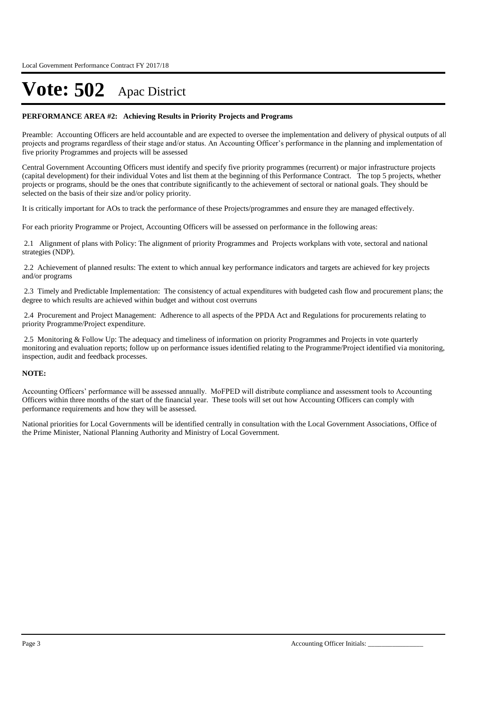#### **PERFORMANCE AREA #2: Achieving Results in Priority Projects and Programs**

Preamble: Accounting Officers are held accountable and are expected to oversee the implementation and delivery of physical outputs of all projects and programs regardless of their stage and/or status. An Accounting Officer's performance in the planning and implementation of five priority Programmes and projects will be assessed

Central Government Accounting Officers must identify and specify five priority programmes (recurrent) or major infrastructure projects (capital development) for their individual Votes and list them at the beginning of this Performance Contract. The top 5 projects, whether projects or programs, should be the ones that contribute significantly to the achievement of sectoral or national goals. They should be selected on the basis of their size and/or policy priority.

It is critically important for AOs to track the performance of these Projects/programmes and ensure they are managed effectively.

For each priority Programme or Project, Accounting Officers will be assessed on performance in the following areas:

2.1 Alignment of plans with Policy: The alignment of priority Programmes and Projects workplans with vote, sectoral and national strategies (NDP).

2.2 Achievement of planned results: The extent to which annual key performance indicators and targets are achieved for key projects and/or programs

2.3 Timely and Predictable Implementation: The consistency of actual expenditures with budgeted cash flow and procurement plans; the degree to which results are achieved within budget and without cost overruns

2.4 Procurement and Project Management: Adherence to all aspects of the PPDA Act and Regulations for procurements relating to priority Programme/Project expenditure.

2.5 Monitoring & Follow Up: The adequacy and timeliness of information on priority Programmes and Projects in vote quarterly monitoring and evaluation reports; follow up on performance issues identified relating to the Programme/Project identified via monitoring, inspection, audit and feedback processes.

#### **NOTE:**

Accounting Officers' performance will be assessed annually. MoFPED will distribute compliance and assessment tools to Accounting Officers within three months of the start of the financial year. These tools will set out how Accounting Officers can comply with performance requirements and how they will be assessed.

National priorities for Local Governments will be identified centrally in consultation with the Local Government Associations, Office of the Prime Minister, National Planning Authority and Ministry of Local Government.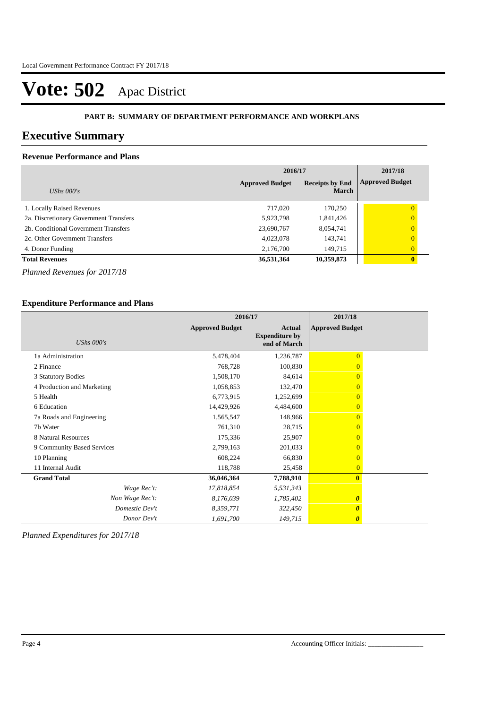#### **PART B: SUMMARY OF DEPARTMENT PERFORMANCE AND WORKPLANS**

### **Executive Summary**

### **Revenue Performance and Plans**

|                                        | 2016/17                | 2017/18                                |                        |
|----------------------------------------|------------------------|----------------------------------------|------------------------|
| UShs $000's$                           | <b>Approved Budget</b> | <b>Receipts by End</b><br><b>March</b> | <b>Approved Budget</b> |
| 1. Locally Raised Revenues             | 717.020                | 170,250                                | 0                      |
| 2a. Discretionary Government Transfers | 5,923,798              | 1,841,426                              | $\overline{0}$         |
| 2b. Conditional Government Transfers   | 23,690,767             | 8,054,741                              | $\overline{0}$         |
| 2c. Other Government Transfers         | 4,023,078              | 143,741                                | $\overline{0}$         |
| 4. Donor Funding                       | 2,176,700              | 149,715                                | $\overline{0}$         |
| <b>Total Revenues</b>                  | 36,531,364             | 10,359,873                             | $\mathbf{0}$           |

*Planned Revenues for 2017/18*

### **Expenditure Performance and Plans**

|                            | 2016/17                |                                                        | 2017/18                |
|----------------------------|------------------------|--------------------------------------------------------|------------------------|
| UShs $000's$               | <b>Approved Budget</b> | <b>Actual</b><br><b>Expenditure by</b><br>end of March | <b>Approved Budget</b> |
| 1a Administration          | 5,478,404              | 1,236,787                                              | $\overline{0}$         |
| 2 Finance                  | 768,728                | 100,830                                                |                        |
| 3 Statutory Bodies         | 1,508,170              | 84,614                                                 | $\Omega$               |
| 4 Production and Marketing | 1,058,853              | 132,470                                                | $\Omega$               |
| 5 Health                   | 6,773,915              | 1,252,699                                              | $\Omega$               |
| 6 Education                | 14,429,926             | 4,484,600                                              | $\Omega$               |
| 7a Roads and Engineering   | 1,565,547              | 148,966                                                | $\Omega$               |
| 7b Water                   | 761,310                | 28,715                                                 | $\Omega$               |
| 8 Natural Resources        | 175,336                | 25,907                                                 | $\Omega$               |
| 9 Community Based Services | 2,799,163              | 201,033                                                | $\overline{0}$         |
| 10 Planning                | 608,224                | 66,830                                                 | $\Omega$               |
| 11 Internal Audit          | 118,788                | 25,458                                                 | $\overline{0}$         |
| <b>Grand Total</b>         | 36,046,364             | 7,788,910                                              | $\mathbf{0}$           |
| Wage Rec't:                | 17,818,854             | 5,531,343                                              |                        |
| Non Wage Rec't:            | 8,176,039              | 1,785,402                                              | $\boldsymbol{\theta}$  |
| Domestic Dev't             | 8,359,771              | 322,450                                                | 0                      |
| Donor Dev't                | 1,691,700              | 149,715                                                | $\boldsymbol{\theta}$  |

*Planned Expenditures for 2017/18*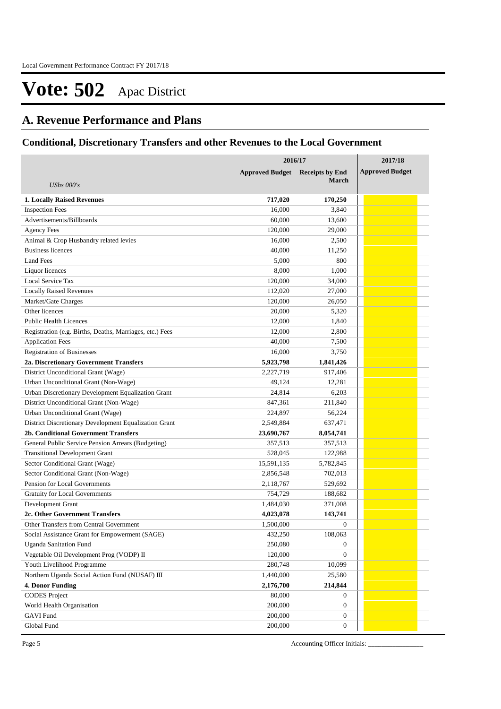### **A. Revenue Performance and Plans**

### **Conditional, Discretionary Transfers and other Revenues to the Local Government**

|                                                             | 2016/17                | 2017/18                |                        |
|-------------------------------------------------------------|------------------------|------------------------|------------------------|
|                                                             | <b>Approved Budget</b> | <b>Receipts by End</b> | <b>Approved Budget</b> |
| UShs $000's$                                                |                        | <b>March</b>           |                        |
|                                                             |                        |                        |                        |
| <b>1. Locally Raised Revenues</b><br><b>Inspection Fees</b> | 717,020<br>16,000      | 170,250<br>3,840       |                        |
| Advertisements/Billboards                                   | 60,000                 | 13,600                 |                        |
| <b>Agency Fees</b>                                          | 120,000                | 29,000                 |                        |
| Animal & Crop Husbandry related levies                      | 16,000                 | 2,500                  |                        |
| <b>Business licences</b>                                    | 40,000                 | 11,250                 |                        |
| <b>Land Fees</b>                                            | 5,000                  | 800                    |                        |
| Liquor licences                                             | 8,000                  | 1,000                  |                        |
| Local Service Tax                                           | 120,000                | 34,000                 |                        |
| <b>Locally Raised Revenues</b>                              | 112,020                | 27,000                 |                        |
| Market/Gate Charges                                         | 120,000                | 26,050                 |                        |
| Other licences                                              | 20,000                 | 5,320                  |                        |
| <b>Public Health Licences</b>                               | 12,000                 | 1,840                  |                        |
| Registration (e.g. Births, Deaths, Marriages, etc.) Fees    | 12,000                 | 2.800                  |                        |
| <b>Application Fees</b>                                     | 40,000                 | 7,500                  |                        |
| <b>Registration of Businesses</b>                           | 16,000                 | 3,750                  |                        |
| 2a. Discretionary Government Transfers                      | 5,923,798              | 1,841,426              |                        |
| District Unconditional Grant (Wage)                         | 2,227,719              | 917,406                |                        |
| Urban Unconditional Grant (Non-Wage)                        | 49,124                 | 12,281                 |                        |
| Urban Discretionary Development Equalization Grant          | 24,814                 | 6,203                  |                        |
| District Unconditional Grant (Non-Wage)                     | 847,361                | 211,840                |                        |
| Urban Unconditional Grant (Wage)                            | 224,897                | 56,224                 |                        |
| District Discretionary Development Equalization Grant       | 2,549,884              | 637,471                |                        |
| 2b. Conditional Government Transfers                        | 23,690,767             | 8,054,741              |                        |
| General Public Service Pension Arrears (Budgeting)          | 357,513                | 357,513                |                        |
| <b>Transitional Development Grant</b>                       | 528,045                | 122,988                |                        |
| Sector Conditional Grant (Wage)                             | 15,591,135             | 5,782,845              |                        |
| Sector Conditional Grant (Non-Wage)                         | 2,856,548              | 702,013                |                        |
| Pension for Local Governments                               | 2,118,767              | 529,692                |                        |
| <b>Gratuity for Local Governments</b>                       | 754,729                | 188,682                |                        |
| Development Grant                                           | 1,484,030              | 371,008                |                        |
| 2c. Other Government Transfers                              | 4,023,078              | 143,741                |                        |
| Other Transfers from Central Government                     | 1,500,000              | $\boldsymbol{0}$       |                        |
| Social Assistance Grant for Empowerment (SAGE)              | 432,250                | 108,063                |                        |
| <b>Uganda Sanitation Fund</b>                               | 250,080                | $\boldsymbol{0}$       |                        |
| Vegetable Oil Development Prog (VODP) II                    | 120,000                | $\mathbf{0}$           |                        |
| Youth Livelihood Programme                                  | 280,748                | 10,099                 |                        |
| Northern Uganda Social Action Fund (NUSAF) III              | 1,440,000              | 25,580                 |                        |
| <b>4. Donor Funding</b>                                     | 2,176,700              | 214,844                |                        |
| <b>CODES</b> Project                                        | 80,000                 | $\boldsymbol{0}$       |                        |
| World Health Organisation                                   | 200,000                | $\mathbf{0}$           |                        |
| <b>GAVI Fund</b>                                            | 200,000                | $\mathbf{0}$           |                        |
| Global Fund                                                 | 200,000                | $\mathbf{0}$           |                        |

Page 5 Accounting Officer Initials: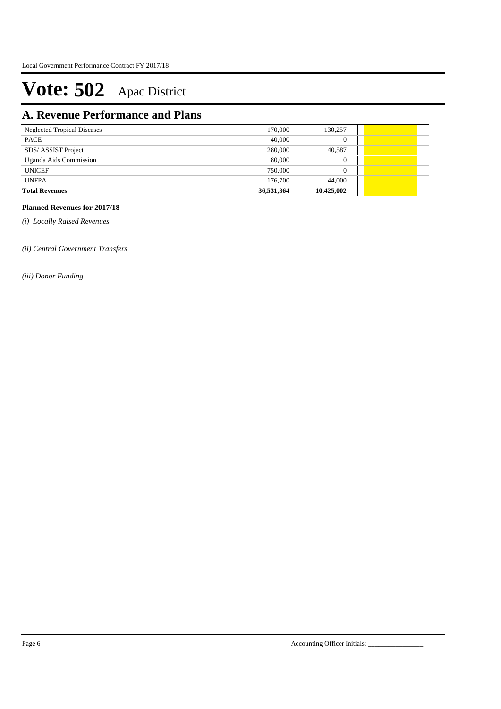## **A. Revenue Performance and Plans**

| <b>Neglected Tropical Diseases</b> | 170,000    | 130,257    |  |  |
|------------------------------------|------------|------------|--|--|
| PACE                               | 40,000     |            |  |  |
| SDS/ ASSIST Project                | 280,000    | 40,587     |  |  |
| Uganda Aids Commission             | 80,000     |            |  |  |
| <b>UNICEF</b>                      | 750,000    |            |  |  |
| <b>UNFPA</b>                       | 176,700    | 44,000     |  |  |
| <b>Total Revenues</b>              | 36,531,364 | 10,425,002 |  |  |

### **Planned Revenues for 2017/18**

*(i) Locally Raised Revenues* 

*(ii) Central Government Transfers*

*(iii) Donor Funding*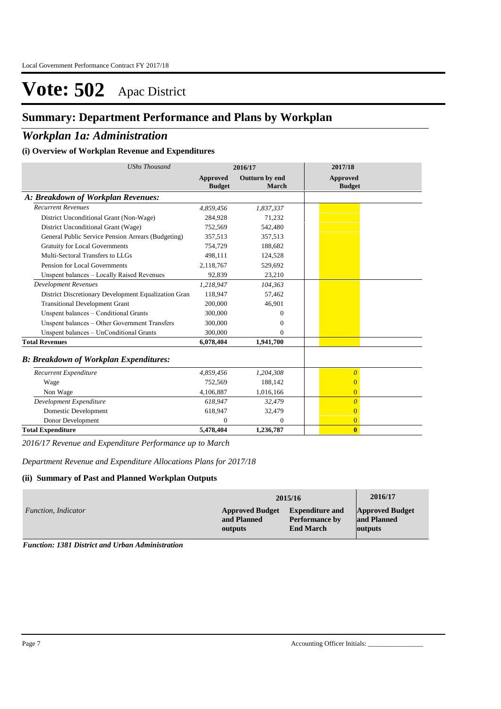## **Summary: Department Performance and Plans by Workplan**

### *Workplan 1a: Administration*

#### **(i) Overview of Workplan Revenue and Expenditures**

| <b>UShs Thousand</b>                                 |                                  | 2016/17                        | 2017/18                   |
|------------------------------------------------------|----------------------------------|--------------------------------|---------------------------|
|                                                      | <b>Approved</b><br><b>Budget</b> | Outturn by end<br><b>March</b> | Approved<br><b>Budget</b> |
| A: Breakdown of Workplan Revenues:                   |                                  |                                |                           |
| <b>Recurrent Revenues</b>                            | 4,859,456                        | 1,837,337                      |                           |
| District Unconditional Grant (Non-Wage)              | 284,928                          | 71,232                         |                           |
| District Unconditional Grant (Wage)                  | 752,569                          | 542,480                        |                           |
| General Public Service Pension Arrears (Budgeting)   | 357,513                          | 357,513                        |                           |
| <b>Gratuity for Local Governments</b>                | 754,729                          | 188,682                        |                           |
| Multi-Sectoral Transfers to LLGs                     | 498,111                          | 124,528                        |                           |
| Pension for Local Governments                        | 2,118,767                        | 529,692                        |                           |
| Unspent balances - Locally Raised Revenues           | 92,839                           | 23,210                         |                           |
| <b>Development Revenues</b>                          | 1,218,947                        | 104,363                        |                           |
| District Discretionary Development Equalization Gran | 118,947                          | 57,462                         |                           |
| <b>Transitional Development Grant</b>                | 200,000                          | 46,901                         |                           |
| Unspent balances - Conditional Grants                | 300,000                          | $\Omega$                       |                           |
| Unspent balances - Other Government Transfers        | 300,000                          | $\mathbf{0}$                   |                           |
| Unspent balances - UnConditional Grants              | 300,000                          | $\Omega$                       |                           |
| <b>Total Revenues</b>                                | 6,078,404                        | 1,941,700                      |                           |
| <b>B: Breakdown of Workplan Expenditures:</b>        |                                  |                                |                           |
| Recurrent Expenditure                                | 4,859,456                        | 1,204,308                      | $\overline{\theta}$       |
| Wage                                                 | 752,569                          | 188,142                        | $\overline{0}$            |
| Non Wage                                             | 4,106,887                        | 1,016,166                      | $\overline{0}$            |
| Development Expenditure                              | 618,947                          | 32,479                         | $\overline{\theta}$       |
| Domestic Development                                 | 618,947                          | 32,479                         | $\overline{0}$            |
| Donor Development                                    | $\Omega$                         | $\Omega$                       | $\overline{0}$            |
| <b>Total Expenditure</b>                             | 5,478,404                        | 1,236,787                      | $\bf{0}$                  |

*2016/17 Revenue and Expenditure Performance up to March*

*Department Revenue and Expenditure Allocations Plans for 2017/18*

#### **(ii) Summary of Past and Planned Workplan Outputs**

|                     |                        | 2015/16                | 2016/17                |
|---------------------|------------------------|------------------------|------------------------|
| Function, Indicator | <b>Approved Budget</b> | <b>Expenditure and</b> | <b>Approved Budget</b> |
|                     | and Planned            | <b>Performance by</b>  | and Planned            |
|                     | outputs                | <b>End March</b>       | <b>outputs</b>         |

*Function: 1381 District and Urban Administration*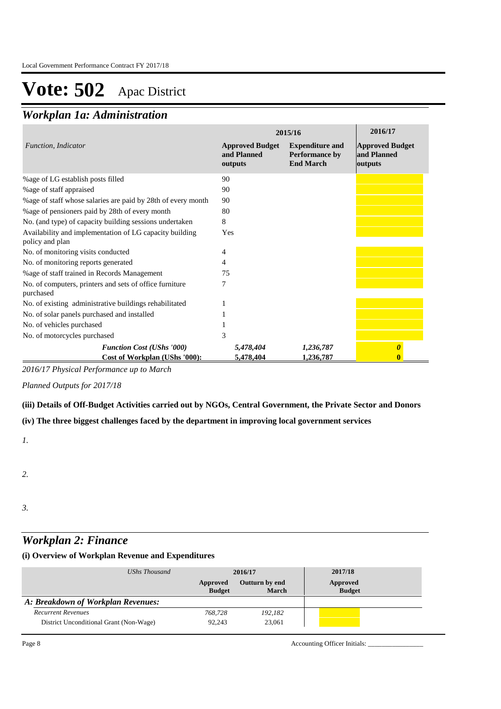## *Workplan 1a: Administration*

|                                                                            | 2015/16                                          | 2016/17                                                             |                                                  |
|----------------------------------------------------------------------------|--------------------------------------------------|---------------------------------------------------------------------|--------------------------------------------------|
| Function, Indicator                                                        | <b>Approved Budget</b><br>and Planned<br>outputs | <b>Expenditure and</b><br><b>Performance by</b><br><b>End March</b> | <b>Approved Budget</b><br>and Planned<br>outputs |
| % age of LG establish posts filled                                         | 90                                               |                                                                     |                                                  |
| % age of staff appraised                                                   | 90                                               |                                                                     |                                                  |
| % age of staff whose salaries are paid by 28th of every month              | 90                                               |                                                                     |                                                  |
| %age of pensioners paid by 28th of every month                             | 80                                               |                                                                     |                                                  |
| No. (and type) of capacity building sessions undertaken                    | 8                                                |                                                                     |                                                  |
| Availability and implementation of LG capacity building<br>policy and plan | Yes                                              |                                                                     |                                                  |
| No. of monitoring visits conducted                                         | 4                                                |                                                                     |                                                  |
| No. of monitoring reports generated                                        | 4                                                |                                                                     |                                                  |
| % age of staff trained in Records Management                               | 75                                               |                                                                     |                                                  |
| No. of computers, printers and sets of office furniture<br>purchased       |                                                  |                                                                     |                                                  |
| No. of existing administrative buildings rehabilitated                     |                                                  |                                                                     |                                                  |
| No. of solar panels purchased and installed                                |                                                  |                                                                     |                                                  |
| No. of vehicles purchased                                                  |                                                  |                                                                     |                                                  |
| No. of motorcycles purchased                                               | 3                                                |                                                                     |                                                  |
| <b>Function Cost (UShs '000)</b>                                           | 5,478,404                                        | 1,236,787                                                           | O                                                |
| Cost of Workplan (UShs '000):                                              | 5,478,404                                        | 1,236,787                                                           |                                                  |

*2016/17 Physical Performance up to March*

*Planned Outputs for 2017/18* 

### **(iii) Details of Off-Budget Activities carried out by NGOs, Central Government, the Private Sector and Donors**

### **(iv) The three biggest challenges faced by the department in improving local government services**

*1.*

*2.*

- 
- *3.*

### *Workplan 2: Finance*

### **(i) Overview of Workplan Revenue and Expenditures**

| UShs Thousand                           | 2016/17                   |                                | 2017/18                   |
|-----------------------------------------|---------------------------|--------------------------------|---------------------------|
|                                         | Approved<br><b>Budget</b> | <b>Outturn by end</b><br>March | Approved<br><b>Budget</b> |
| A: Breakdown of Workplan Revenues:      |                           |                                |                           |
| <b>Recurrent Revenues</b>               | 768,728                   | 192,182                        |                           |
| District Unconditional Grant (Non-Wage) | 92.243                    | 23,061                         |                           |

Page 8 Accounting Officer Initials: \_\_\_\_\_\_\_\_\_\_\_\_\_\_\_\_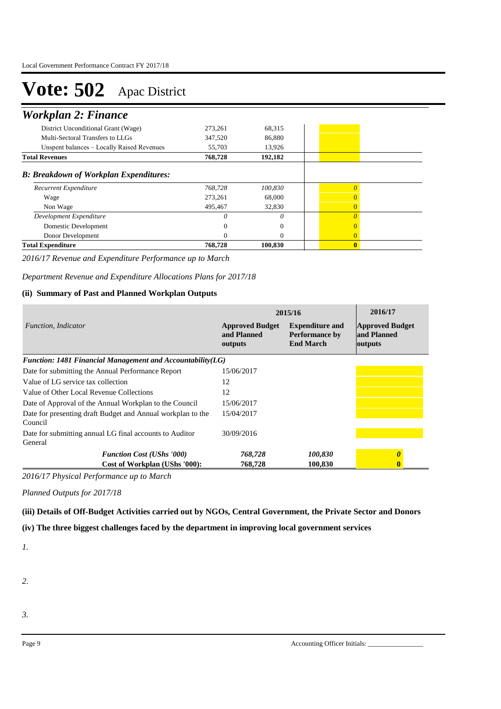## *Workplan 2: Finance*

| <b>Total Expenditure</b>                      | 768,728 | 100,830 | $\mathbf{0}$   |  |
|-----------------------------------------------|---------|---------|----------------|--|
| Donor Development                             |         |         | $\overline{0}$ |  |
| Domestic Development                          |         |         | $\Omega$       |  |
| Development Expenditure                       |         | 0       | $\Omega$       |  |
| Non Wage                                      | 495,467 | 32,830  | $\Omega$       |  |
| Wage                                          | 273.261 | 68,000  | $\Omega$       |  |
| Recurrent Expenditure                         | 768.728 | 100,830 |                |  |
| <b>B: Breakdown of Workplan Expenditures:</b> |         |         |                |  |
| <b>Total Revenues</b>                         | 768,728 | 192,182 |                |  |
| Unspent balances – Locally Raised Revenues    | 55,703  | 13,926  |                |  |
| Multi-Sectoral Transfers to LLGs              | 347,520 | 86,880  |                |  |
| District Unconditional Grant (Wage)           | 273,261 | 68,315  |                |  |
| 1.0221                                        |         |         |                |  |

*2016/17 Revenue and Expenditure Performance up to March*

*Department Revenue and Expenditure Allocations Plans for 2017/18*

### **(ii) Summary of Past and Planned Workplan Outputs**

|                                                                        | 2015/16                                          | 2016/17                                                             |                                                  |
|------------------------------------------------------------------------|--------------------------------------------------|---------------------------------------------------------------------|--------------------------------------------------|
| Function, Indicator                                                    | <b>Approved Budget</b><br>and Planned<br>outputs | <b>Expenditure and</b><br><b>Performance by</b><br><b>End March</b> | <b>Approved Budget</b><br>and Planned<br>outputs |
| Function: 1481 Financial Management and Accountability $(LG)$          |                                                  |                                                                     |                                                  |
| Date for submitting the Annual Performance Report                      | 15/06/2017                                       |                                                                     |                                                  |
| Value of LG service tax collection                                     | 12                                               |                                                                     |                                                  |
| Value of Other Local Revenue Collections                               | 12                                               |                                                                     |                                                  |
| Date of Approval of the Annual Workplan to the Council                 | 15/06/2017                                       |                                                                     |                                                  |
| Date for presenting draft Budget and Annual workplan to the<br>Council | 15/04/2017                                       |                                                                     |                                                  |
| Date for submitting annual LG final accounts to Auditor<br>General     | 30/09/2016                                       |                                                                     |                                                  |
| <b>Function Cost (UShs '000)</b>                                       | 768,728                                          | 100,830                                                             |                                                  |
| Cost of Workplan (UShs '000):                                          | 768,728                                          | 100.830                                                             |                                                  |

*2016/17 Physical Performance up to March*

*Planned Outputs for 2017/18* 

**(iii) Details of Off-Budget Activities carried out by NGOs, Central Government, the Private Sector and Donors** 

**(iv) The three biggest challenges faced by the department in improving local government services**

*1.*

*2.*

*3.*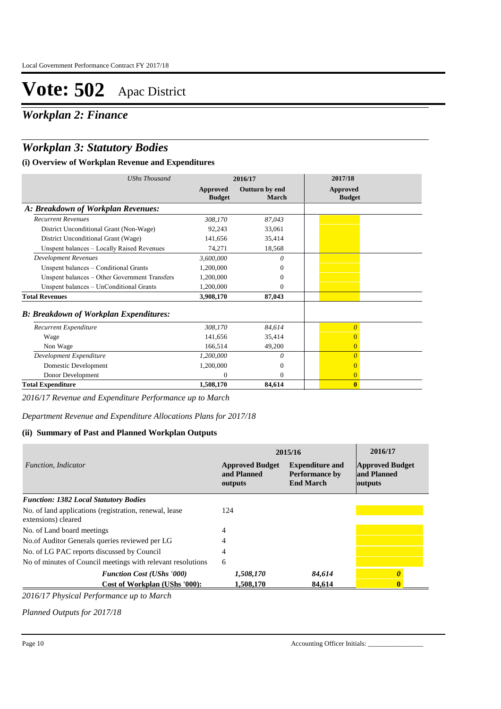*Workplan 2: Finance*

## *Workplan 3: Statutory Bodies*

### **(i) Overview of Workplan Revenue and Expenditures**

| <b>UShs Thousand</b>                          | 2016/17                   |                         | 2017/18                   |
|-----------------------------------------------|---------------------------|-------------------------|---------------------------|
|                                               | Approved<br><b>Budget</b> | Outturn by end<br>March | Approved<br><b>Budget</b> |
| A: Breakdown of Workplan Revenues:            |                           |                         |                           |
| <b>Recurrent Revenues</b>                     | 308,170                   | 87,043                  |                           |
| District Unconditional Grant (Non-Wage)       | 92,243                    | 33,061                  |                           |
| District Unconditional Grant (Wage)           | 141,656                   | 35,414                  |                           |
| Unspent balances - Locally Raised Revenues    | 74,271                    | 18,568                  |                           |
| <b>Development Revenues</b>                   | 3,600,000                 | 0                       |                           |
| Unspent balances – Conditional Grants         | 1,200,000                 | $\Omega$                |                           |
| Unspent balances – Other Government Transfers | 1,200,000                 | $\Omega$                |                           |
| Unspent balances - UnConditional Grants       | 1,200,000                 | $\Omega$                |                           |
| <b>Total Revenues</b>                         | 3,908,170                 | 87,043                  |                           |
| <b>B: Breakdown of Workplan Expenditures:</b> |                           |                         |                           |
| Recurrent Expenditure                         | 308,170                   | 84,614                  | $\overline{0}$            |
| Wage                                          | 141,656                   | 35,414                  | $\Omega$                  |
| Non Wage                                      | 166,514                   | 49,200                  | $\overline{0}$            |
| Development Expenditure                       | 1,200,000                 | $\theta$                | $\theta$                  |
| Domestic Development                          | 1,200,000                 | $\theta$                | $\overline{0}$            |
| Donor Development                             | 0                         | $\theta$                | $\overline{0}$            |
| <b>Total Expenditure</b>                      | 1,508,170                 | 84,614                  | $\bf{0}$                  |

*2016/17 Revenue and Expenditure Performance up to March*

*Department Revenue and Expenditure Allocations Plans for 2017/18*

### **(ii) Summary of Past and Planned Workplan Outputs**

|                                                                               | 2015/16                                          | 2016/17                                                             |                                                  |
|-------------------------------------------------------------------------------|--------------------------------------------------|---------------------------------------------------------------------|--------------------------------------------------|
| Function, Indicator                                                           | <b>Approved Budget</b><br>and Planned<br>outputs | <b>Expenditure and</b><br><b>Performance by</b><br><b>End March</b> | <b>Approved Budget</b><br>and Planned<br>outputs |
| <b>Function: 1382 Local Statutory Bodies</b>                                  |                                                  |                                                                     |                                                  |
| No. of land applications (registration, renewal, lease<br>extensions) cleared | 124                                              |                                                                     |                                                  |
| No. of Land board meetings                                                    | 4                                                |                                                                     |                                                  |
| No.of Auditor Generals queries reviewed per LG                                | 4                                                |                                                                     |                                                  |
| No. of LG PAC reports discussed by Council                                    | 4                                                |                                                                     |                                                  |
| No of minutes of Council meetings with relevant resolutions                   | 6                                                |                                                                     |                                                  |
| <b>Function Cost (UShs '000)</b>                                              | 1,508,170                                        | 84,614                                                              |                                                  |
| Cost of Workplan (UShs '000):                                                 | 1,508,170                                        | 84.614                                                              |                                                  |

*2016/17 Physical Performance up to March*

*Planned Outputs for 2017/18*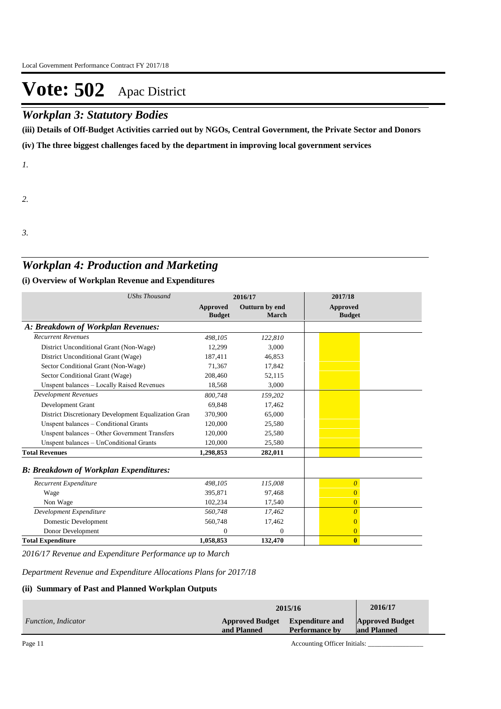### *Workplan 3: Statutory Bodies*

**(iii) Details of Off-Budget Activities carried out by NGOs, Central Government, the Private Sector and Donors** 

**(iv) The three biggest challenges faced by the department in improving local government services**

*1.*

*2.*

*3.*

### *Workplan 4: Production and Marketing*

### **(i) Overview of Workplan Revenue and Expenditures**

| <b>UShs Thousand</b>                                 | 2016/17                          |                         | 2017/18                          |
|------------------------------------------------------|----------------------------------|-------------------------|----------------------------------|
|                                                      | <b>Approved</b><br><b>Budget</b> | Outturn by end<br>March | <b>Approved</b><br><b>Budget</b> |
| A: Breakdown of Workplan Revenues:                   |                                  |                         |                                  |
| <b>Recurrent Revenues</b>                            | 498.105                          | 122,810                 |                                  |
| District Unconditional Grant (Non-Wage)              | 12,299                           | 3,000                   |                                  |
| District Unconditional Grant (Wage)                  | 187,411                          | 46,853                  |                                  |
| Sector Conditional Grant (Non-Wage)                  | 71,367                           | 17,842                  |                                  |
| Sector Conditional Grant (Wage)                      | 208,460                          | 52,115                  |                                  |
| Unspent balances - Locally Raised Revenues           | 18,568                           | 3,000                   |                                  |
| <b>Development Revenues</b>                          | 800,748                          | 159,202                 |                                  |
| Development Grant                                    | 69,848                           | 17,462                  |                                  |
| District Discretionary Development Equalization Gran | 370,900                          | 65,000                  |                                  |
| Unspent balances - Conditional Grants                | 120,000                          | 25,580                  |                                  |
| Unspent balances – Other Government Transfers        | 120,000                          | 25,580                  |                                  |
| Unspent balances - UnConditional Grants              | 120,000                          | 25,580                  |                                  |
| <b>Total Revenues</b>                                | 1,298,853                        | 282,011                 |                                  |
| <b>B: Breakdown of Workplan Expenditures:</b>        |                                  |                         |                                  |
| Recurrent Expenditure                                | 498,105                          | 115,008                 | $\overline{0}$                   |
| Wage                                                 | 395,871                          | 97,468                  | $\overline{0}$                   |
| Non Wage                                             | 102,234                          | 17,540                  | $\overline{0}$                   |
| Development Expenditure                              | 560,748                          | 17,462                  | $\boldsymbol{\theta}$            |
| Domestic Development                                 | 560,748                          | 17,462                  | $\overline{0}$                   |
| Donor Development                                    | $\Omega$                         | $\Omega$                | $\overline{0}$                   |
| <b>Total Expenditure</b>                             | 1,058,853                        | 132,470                 | $\bf{0}$                         |

*2016/17 Revenue and Expenditure Performance up to March*

*Department Revenue and Expenditure Allocations Plans for 2017/18*

### **(ii) Summary of Past and Planned Workplan Outputs**

|                     | 2015/16                                        | 2016/17               |                                       |
|---------------------|------------------------------------------------|-----------------------|---------------------------------------|
| Function, Indicator | Approved Budget Expenditure and<br>and Planned | <b>Performance by</b> | <b>Approved Budget</b><br>and Planned |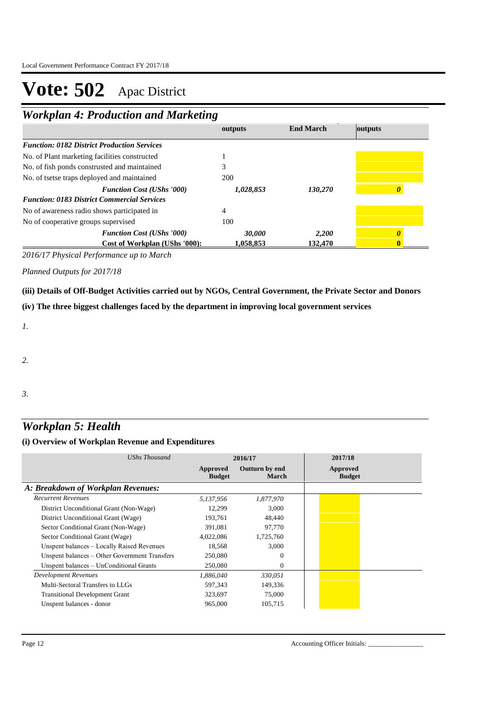*Workplan 4: Production and Marketing*

|                                                    | outputs    | <b>End March</b> | outputs |
|----------------------------------------------------|------------|------------------|---------|
| <b>Function: 0182 District Production Services</b> |            |                  |         |
| No. of Plant marketing facilities constructed      |            |                  |         |
| No. of fish ponds construsted and maintained       |            |                  |         |
| No. of tsetse traps deployed and maintained        | <b>200</b> |                  |         |
| <b>Function Cost (UShs '000)</b>                   | 1,028,853  | 130,270          |         |
| <b>Function: 0183 District Commercial Services</b> |            |                  |         |
| No of awareness radio shows participated in        | 4          |                  |         |
| No of cooperative groups supervised                | 100        |                  |         |
| <b>Function Cost (UShs '000)</b>                   | 30,000     | 2,200            |         |
| Cost of Workplan (UShs '000):                      | 1.058.853  | 132.470          |         |

*2016/17 Physical Performance up to March*

*Planned Outputs for 2017/18* 

**(iii) Details of Off-Budget Activities carried out by NGOs, Central Government, the Private Sector and Donors** 

**(iv) The three biggest challenges faced by the department in improving local government services**

*1.*

*2.*

*3.*

## *Workplan 5: Health*

| UShs Thousand                                 |                           | 2016/17                        | 2017/18                   |
|-----------------------------------------------|---------------------------|--------------------------------|---------------------------|
|                                               | Approved<br><b>Budget</b> | Outturn by end<br><b>March</b> | Approved<br><b>Budget</b> |
| A: Breakdown of Workplan Revenues:            |                           |                                |                           |
| <b>Recurrent Revenues</b>                     | 5,137,956                 | 1,877,970                      |                           |
| District Unconditional Grant (Non-Wage)       | 12,299                    | 3,000                          |                           |
| District Unconditional Grant (Wage)           | 193,761                   | 48,440                         |                           |
| Sector Conditional Grant (Non-Wage)           | 391,081                   | 97,770                         |                           |
| Sector Conditional Grant (Wage)               | 4,022,086                 | 1,725,760                      |                           |
| Unspent balances - Locally Raised Revenues    | 18,568                    | 3.000                          |                           |
| Unspent balances – Other Government Transfers | 250,080                   | $\Omega$                       |                           |
| Unspent balances – UnConditional Grants       | 250,080                   | $\Omega$                       |                           |
| Development Revenues                          | 1,886,040                 | 330,051                        |                           |
| Multi-Sectoral Transfers to LLGs              | 597,343                   | 149,336                        |                           |
| <b>Transitional Development Grant</b>         | 323,697                   | 75,000                         |                           |
| Unspent balances - donor                      | 965,000                   | 105,715                        |                           |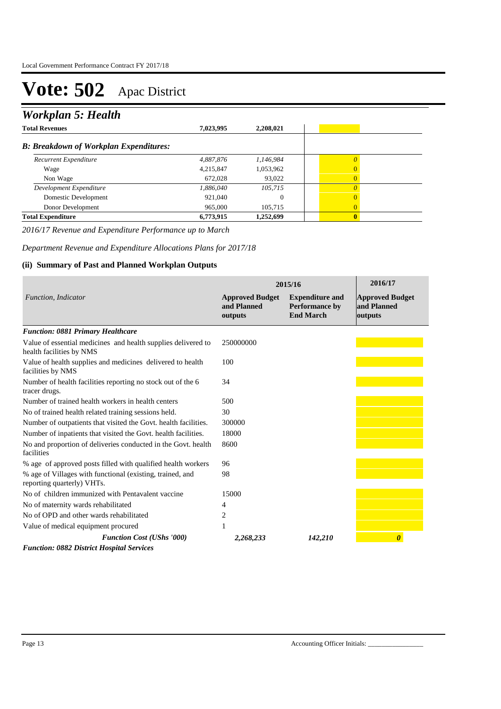## *Workplan 5: Health*

| <b>Total Revenues</b>                         | 7,023,995 | 2,208,021 |   |
|-----------------------------------------------|-----------|-----------|---|
| <b>B: Breakdown of Workplan Expenditures:</b> |           |           |   |
| Recurrent Expenditure                         | 4,887,876 | 1,146,984 |   |
| Wage                                          | 4,215,847 | 1,053,962 | 0 |
| Non Wage                                      | 672.028   | 93,022    | 0 |
| Development Expenditure                       | 1,886,040 | 105,715   |   |
| Domestic Development                          | 921,040   |           | 0 |
| Donor Development                             | 965,000   | 105.715   | 0 |
| <b>Total Expenditure</b>                      | 6,773,915 | 1,252,699 | 0 |

*2016/17 Revenue and Expenditure Performance up to March*

*Department Revenue and Expenditure Allocations Plans for 2017/18*

### **(ii) Summary of Past and Planned Workplan Outputs**

|                                                                                           | 2015/16                                          | 2016/17                                                             |                                                  |
|-------------------------------------------------------------------------------------------|--------------------------------------------------|---------------------------------------------------------------------|--------------------------------------------------|
| Function, Indicator                                                                       | <b>Approved Budget</b><br>and Planned<br>outputs | <b>Expenditure and</b><br><b>Performance by</b><br><b>End March</b> | <b>Approved Budget</b><br>and Planned<br>outputs |
| <b>Function: 0881 Primary Healthcare</b>                                                  |                                                  |                                                                     |                                                  |
| Value of essential medicines and health supplies delivered to<br>health facilities by NMS | 250000000                                        |                                                                     |                                                  |
| Value of health supplies and medicines delivered to health<br>facilities by NMS           | 100                                              |                                                                     |                                                  |
| Number of health facilities reporting no stock out of the 6<br>tracer drugs.              | 34                                               |                                                                     |                                                  |
| Number of trained health workers in health centers                                        | 500                                              |                                                                     |                                                  |
| No of trained health related training sessions held.                                      | 30                                               |                                                                     |                                                  |
| Number of outpatients that visited the Govt. health facilities.                           | 300000                                           |                                                                     |                                                  |
| Number of inpatients that visited the Govt. health facilities.                            | 18000                                            |                                                                     |                                                  |
| No and proportion of deliveries conducted in the Govt. health<br>facilities               | 8600                                             |                                                                     |                                                  |
| % age of approved posts filled with qualified health workers                              | 96                                               |                                                                     |                                                  |
| % age of Villages with functional (existing, trained, and<br>reporting quarterly) VHTs.   | 98                                               |                                                                     |                                                  |
| No of children immunized with Pentavalent vaccine                                         | 15000                                            |                                                                     |                                                  |
| No of maternity wards rehabilitated                                                       | 4                                                |                                                                     |                                                  |
| No of OPD and other wards rehabilitated                                                   | 2                                                |                                                                     |                                                  |
| Value of medical equipment procured                                                       | 1                                                |                                                                     |                                                  |
| <b>Function Cost (UShs '000)</b>                                                          | 2,268,233                                        | 142,210                                                             | $\boldsymbol{\theta}$                            |
| <b>Function: 0882 District Hospital Services</b>                                          |                                                  |                                                                     |                                                  |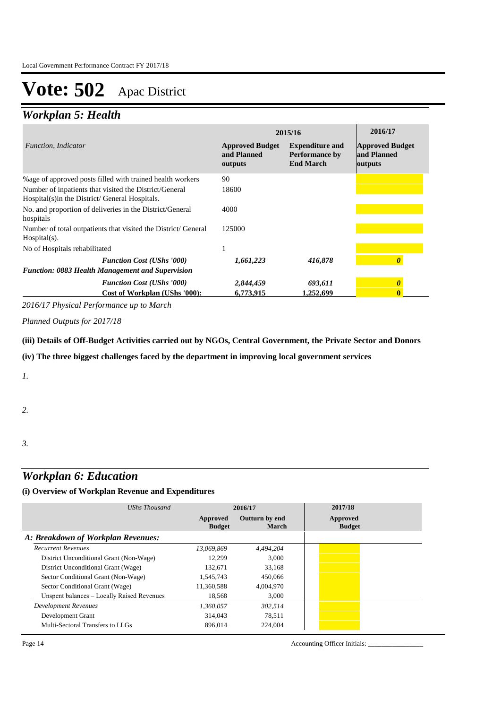## *Workplan 5: Health*

|                                                                                                           | 2015/16                                          | 2016/17                                                             |                                                  |
|-----------------------------------------------------------------------------------------------------------|--------------------------------------------------|---------------------------------------------------------------------|--------------------------------------------------|
| <i>Function, Indicator</i>                                                                                | <b>Approved Budget</b><br>and Planned<br>outputs | <b>Expenditure and</b><br><b>Performance by</b><br><b>End March</b> | <b>Approved Budget</b><br>and Planned<br>outputs |
| % age of approved posts filled with trained health workers                                                | 90                                               |                                                                     |                                                  |
| Number of inpatients that visited the District/General<br>Hospital(s) in the District/ General Hospitals. | 18600                                            |                                                                     |                                                  |
| No. and proportion of deliveries in the District/General<br>hospitals                                     | 4000                                             |                                                                     |                                                  |
| Number of total outpatients that visited the District/General<br>$Hospital(s)$ .                          | 125000                                           |                                                                     |                                                  |
| No of Hospitals rehabilitated                                                                             |                                                  |                                                                     |                                                  |
| <b>Function Cost (UShs '000)</b><br><b>Function: 0883 Health Management and Supervision</b>               | 1,661,223                                        | 416,878                                                             |                                                  |
| <b>Function Cost (UShs '000)</b><br>Cost of Workplan (UShs '000):                                         | 2,844,459<br>6,773,915                           | 693,611<br>1,252,699                                                | 0                                                |

*2016/17 Physical Performance up to March*

*Planned Outputs for 2017/18* 

**(iii) Details of Off-Budget Activities carried out by NGOs, Central Government, the Private Sector and Donors** 

**(iv) The three biggest challenges faced by the department in improving local government services**

*1.*

*2.*

*3.*

### *Workplan 6: Education*

#### **(i) Overview of Workplan Revenue and Expenditures**

| UShs Thousand                              | 2016/17                   |                                | 2017/18                   |
|--------------------------------------------|---------------------------|--------------------------------|---------------------------|
|                                            | Approved<br><b>Budget</b> | Outturn by end<br><b>March</b> | Approved<br><b>Budget</b> |
| A: Breakdown of Workplan Revenues:         |                           |                                |                           |
| <b>Recurrent Revenues</b>                  | 13.069.869                | 4,494,204                      |                           |
| District Unconditional Grant (Non-Wage)    | 12,299                    | 3.000                          |                           |
| District Unconditional Grant (Wage)        | 132.671                   | 33.168                         |                           |
| Sector Conditional Grant (Non-Wage)        | 1.545.743                 | 450,066                        |                           |
| Sector Conditional Grant (Wage)            | 11,360,588                | 4.004.970                      |                           |
| Unspent balances - Locally Raised Revenues | 18,568                    | 3.000                          |                           |
| <b>Development Revenues</b>                | 1.360.057                 | 302.514                        |                           |
| Development Grant                          | 314,043                   | 78.511                         |                           |
| Multi-Sectoral Transfers to LLGs           | 896,014                   | 224,004                        |                           |

Page 14 Accounting Officer Initials: \_\_\_\_\_\_\_\_\_\_\_\_\_\_\_\_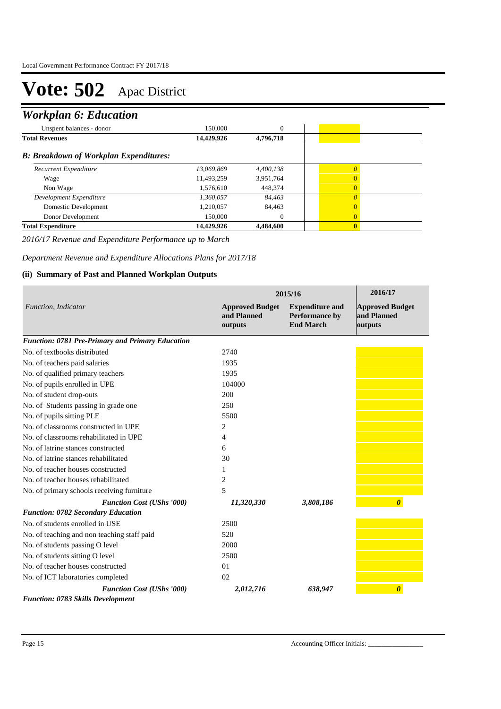## *Workplan 6: Education*

| 150,000                                       | $\mathbf{0}$ |              |  |
|-----------------------------------------------|--------------|--------------|--|
| 14,429,926                                    | 4,796,718    |              |  |
| <b>B: Breakdown of Workplan Expenditures:</b> |              |              |  |
| 13,069,869                                    | 4,400,138    | $\theta$     |  |
| 11,493,259                                    | 3,951,764    | $\Omega$     |  |
| 1,576,610                                     | 448,374      | $\Omega$     |  |
| 1,360,057                                     | 84,463       | $\Omega$     |  |
| 1,210,057                                     | 84,463       | $\Omega$     |  |
| 150,000                                       | 0            | $\Omega$     |  |
| 14,429,926                                    | 4,484,600    | $\mathbf{0}$ |  |
|                                               |              |              |  |

*2016/17 Revenue and Expenditure Performance up to March*

*Department Revenue and Expenditure Allocations Plans for 2017/18*

#### **(ii) Summary of Past and Planned Workplan Outputs**

|                                                         |                                                  | 2015/16                                                      |                                                  |  |
|---------------------------------------------------------|--------------------------------------------------|--------------------------------------------------------------|--------------------------------------------------|--|
| Function, Indicator                                     | <b>Approved Budget</b><br>and Planned<br>outputs | <b>Expenditure and</b><br>Performance by<br><b>End March</b> | <b>Approved Budget</b><br>and Planned<br>outputs |  |
| <b>Function: 0781 Pre-Primary and Primary Education</b> |                                                  |                                                              |                                                  |  |
| No. of textbooks distributed                            | 2740                                             |                                                              |                                                  |  |
| No. of teachers paid salaries                           | 1935                                             |                                                              |                                                  |  |
| No. of qualified primary teachers                       | 1935                                             |                                                              |                                                  |  |
| No. of pupils enrolled in UPE                           | 104000                                           |                                                              |                                                  |  |
| No. of student drop-outs                                | 200                                              |                                                              |                                                  |  |
| No. of Students passing in grade one                    | 250                                              |                                                              |                                                  |  |
| No. of pupils sitting PLE                               | 5500                                             |                                                              |                                                  |  |
| No. of classrooms constructed in UPE                    | 2                                                |                                                              |                                                  |  |
| No. of classrooms rehabilitated in UPE                  | 4                                                |                                                              |                                                  |  |
| No. of latrine stances constructed                      | 6                                                |                                                              |                                                  |  |
| No. of latrine stances rehabilitated                    | 30                                               |                                                              |                                                  |  |
| No. of teacher houses constructed                       | 1                                                |                                                              |                                                  |  |
| No. of teacher houses rehabilitated                     | 2                                                |                                                              |                                                  |  |
| No. of primary schools receiving furniture              | 5                                                |                                                              |                                                  |  |
| <b>Function Cost (UShs '000)</b>                        | 11,320,330                                       | 3,808,186                                                    | $\boldsymbol{\theta}$                            |  |
| <b>Function: 0782 Secondary Education</b>               |                                                  |                                                              |                                                  |  |
| No. of students enrolled in USE                         | 2500                                             |                                                              |                                                  |  |
| No. of teaching and non teaching staff paid             | 520                                              |                                                              |                                                  |  |
| No. of students passing O level                         | 2000                                             |                                                              |                                                  |  |
| No. of students sitting O level                         | 2500                                             |                                                              |                                                  |  |
| No. of teacher houses constructed                       | 01                                               |                                                              |                                                  |  |
| No. of ICT laboratories completed                       | 02                                               |                                                              |                                                  |  |
| <b>Function Cost (UShs '000)</b>                        | 2,012,716                                        | 638,947                                                      | $\boldsymbol{\theta}$                            |  |
| Eunstian: 0792 Skills Development                       |                                                  |                                                              |                                                  |  |

*Function: 0783 Skills Development*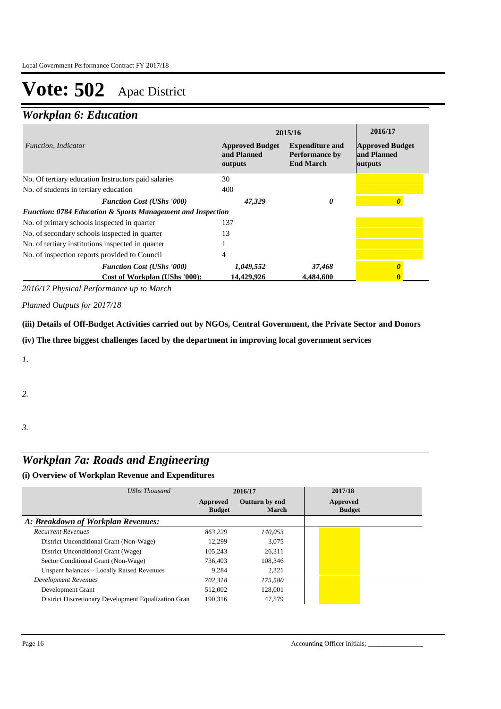## *Workplan 6: Education*

|                                                                        | 2015/16                                          | 2016/17                                                             |                                                  |
|------------------------------------------------------------------------|--------------------------------------------------|---------------------------------------------------------------------|--------------------------------------------------|
| <i>Function. Indicator</i>                                             | <b>Approved Budget</b><br>and Planned<br>outputs | <b>Expenditure and</b><br><b>Performance by</b><br><b>End March</b> | <b>Approved Budget</b><br>and Planned<br>outputs |
| No. Of tertiary education Instructors paid salaries                    | 30                                               |                                                                     |                                                  |
| No. of students in tertiary education                                  | 400                                              |                                                                     |                                                  |
| <b>Function Cost (UShs '000)</b>                                       | 47,329                                           | 0                                                                   |                                                  |
| <b>Function: 0784 Education &amp; Sports Management and Inspection</b> |                                                  |                                                                     |                                                  |
| No. of primary schools inspected in quarter                            | 137                                              |                                                                     |                                                  |
| No. of secondary schools inspected in quarter                          | 13                                               |                                                                     |                                                  |
| No. of tertiary institutions inspected in quarter                      |                                                  |                                                                     |                                                  |
| No. of inspection reports provided to Council                          | 4                                                |                                                                     |                                                  |
| <b>Function Cost (UShs '000)</b>                                       | 1,049,552                                        | 37,468                                                              |                                                  |
| Cost of Workplan (UShs '000):                                          | 14,429,926                                       | 4.484,600                                                           |                                                  |

*2016/17 Physical Performance up to March*

*Planned Outputs for 2017/18* 

**(iii) Details of Off-Budget Activities carried out by NGOs, Central Government, the Private Sector and Donors** 

**(iv) The three biggest challenges faced by the department in improving local government services**

*1.*

*2.*

*3.*

## *Workplan 7a: Roads and Engineering*

| UShs Thousand                                        | 2016/17                   |                         | 2017/18                   |
|------------------------------------------------------|---------------------------|-------------------------|---------------------------|
|                                                      | Approved<br><b>Budget</b> | Outturn by end<br>March | Approved<br><b>Budget</b> |
| A: Breakdown of Workplan Revenues:                   |                           |                         |                           |
| <b>Recurrent Revenues</b>                            | 863.229                   | 140.053                 |                           |
| District Unconditional Grant (Non-Wage)              | 12.299                    | 3.075                   |                           |
| District Unconditional Grant (Wage)                  | 105.243                   | 26.311                  |                           |
| Sector Conditional Grant (Non-Wage)                  | 736,403                   | 108.346                 |                           |
| Unspent balances - Locally Raised Revenues           | 9.284                     | 2,321                   |                           |
| Development Revenues                                 | 702.318                   | 175,580                 |                           |
| Development Grant                                    | 512,002                   | 128,001                 |                           |
| District Discretionary Development Equalization Gran | 190.316                   | 47.579                  |                           |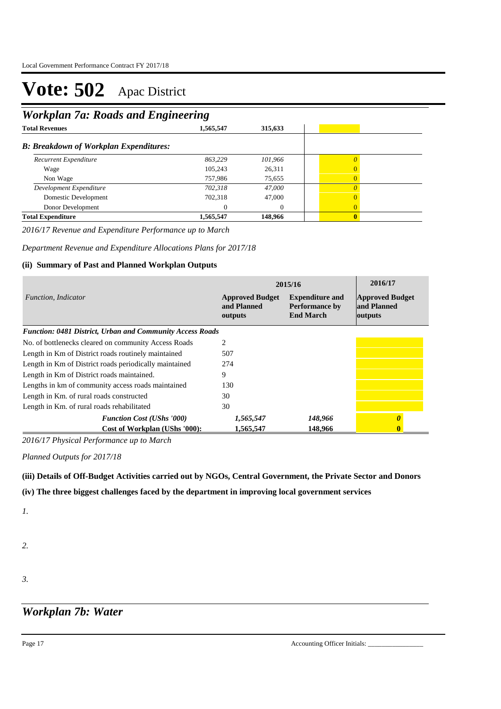## *Workplan 7a: Roads and Engineering*

| ີ<br>ີ    |                                               |              |  |
|-----------|-----------------------------------------------|--------------|--|
| 1,565,547 | 315,633                                       |              |  |
|           |                                               |              |  |
| 863,229   | 101,966                                       | $\theta$     |  |
| 105,243   | 26,311                                        | $\Omega$     |  |
| 757.986   | 75,655                                        | $\Omega$     |  |
| 702,318   | 47,000                                        |              |  |
| 702,318   | 47,000                                        | $\Omega$     |  |
| $\Omega$  | $\theta$                                      | $\Omega$     |  |
| 1,565,547 | 148,966                                       | $\mathbf{0}$ |  |
|           | <b>B: Breakdown of Workplan Expenditures:</b> |              |  |

*2016/17 Revenue and Expenditure Performance up to March*

*Department Revenue and Expenditure Allocations Plans for 2017/18*

### **(ii) Summary of Past and Planned Workplan Outputs**

|                                                                  | 2015/16                                                                                                                 | 2016/17 |                                                  |
|------------------------------------------------------------------|-------------------------------------------------------------------------------------------------------------------------|---------|--------------------------------------------------|
| <i>Function, Indicator</i>                                       | <b>Approved Budget</b><br><b>Expenditure and</b><br>and Planned<br><b>Performance by</b><br><b>End March</b><br>outputs |         | <b>Approved Budget</b><br>and Planned<br>outputs |
| <b>Function: 0481 District, Urban and Community Access Roads</b> |                                                                                                                         |         |                                                  |
| No. of bottlenecks cleared on community Access Roads             | $\overline{c}$                                                                                                          |         |                                                  |
| Length in Km of District roads routinely maintained              | 507                                                                                                                     |         |                                                  |
| Length in Km of District roads periodically maintained           | 274                                                                                                                     |         |                                                  |
| Length in Km of District roads maintained.                       | 9                                                                                                                       |         |                                                  |
| Lengths in km of community access roads maintained               | 130                                                                                                                     |         |                                                  |
| Length in Km. of rural roads constructed                         | 30                                                                                                                      |         |                                                  |
| Length in Km. of rural roads rehabilitated                       | 30                                                                                                                      |         |                                                  |
| <b>Function Cost (UShs '000)</b>                                 | 1,565,547                                                                                                               | 148,966 | O                                                |
| Cost of Workplan (UShs '000):                                    | 1.565.547                                                                                                               | 148,966 | 0                                                |

*2016/17 Physical Performance up to March*

*Planned Outputs for 2017/18* 

**(iii) Details of Off-Budget Activities carried out by NGOs, Central Government, the Private Sector and Donors** 

**(iv) The three biggest challenges faced by the department in improving local government services**

*1.*

- *2.*
- *3.*

*Workplan 7b: Water*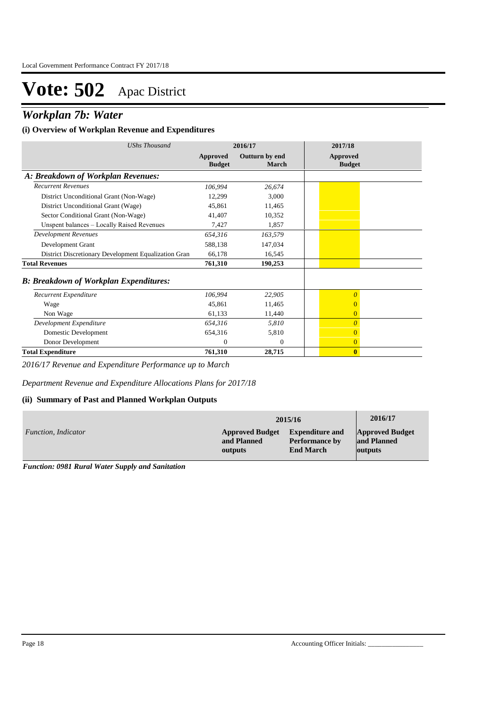## *Workplan 7b: Water*

### **(i) Overview of Workplan Revenue and Expenditures**

| UShs Thousand                                        | 2016/17                   |                         | 2017/18                          |
|------------------------------------------------------|---------------------------|-------------------------|----------------------------------|
|                                                      | Approved<br><b>Budget</b> | Outturn by end<br>March | <b>Approved</b><br><b>Budget</b> |
| A: Breakdown of Workplan Revenues:                   |                           |                         |                                  |
| <b>Recurrent Revenues</b>                            | 106,994                   | 26,674                  |                                  |
| District Unconditional Grant (Non-Wage)              | 12,299                    | 3,000                   |                                  |
| District Unconditional Grant (Wage)                  | 45,861                    | 11,465                  |                                  |
| Sector Conditional Grant (Non-Wage)                  | 41,407                    | 10,352                  |                                  |
| Unspent balances - Locally Raised Revenues           | 7,427                     | 1,857                   |                                  |
| <b>Development Revenues</b>                          | 654,316                   | 163,579                 |                                  |
| Development Grant                                    | 588,138                   | 147,034                 |                                  |
| District Discretionary Development Equalization Gran | 66,178                    | 16,545                  |                                  |
| <b>Total Revenues</b>                                | 761,310                   | 190,253                 |                                  |
| <b>B: Breakdown of Workplan Expenditures:</b>        |                           |                         |                                  |
| Recurrent Expenditure                                | 106,994                   | 22,905                  | $\theta$                         |
| Wage                                                 | 45,861                    | 11,465                  | 0                                |
| Non Wage                                             | 61,133                    | 11,440                  | $\overline{0}$                   |
| Development Expenditure                              | 654,316                   | 5,810                   | $\overline{0}$                   |
| Domestic Development                                 | 654,316                   | 5,810                   | $\mathbf{0}$                     |
| Donor Development                                    | $\Omega$                  | $\Omega$                | $\overline{0}$                   |
| <b>Total Expenditure</b>                             | 761,310                   | 28,715                  | $\bf{0}$                         |

*2016/17 Revenue and Expenditure Performance up to March*

*Department Revenue and Expenditure Allocations Plans for 2017/18*

### **(ii) Summary of Past and Planned Workplan Outputs**

|                            |                        | 2015/16                | 2016/17                |
|----------------------------|------------------------|------------------------|------------------------|
| <i>Function, Indicator</i> | <b>Approved Budget</b> | <b>Expenditure and</b> | <b>Approved Budget</b> |
|                            | and Planned            | <b>Performance by</b>  | and Planned            |
|                            | outputs                | <b>End March</b>       | outputs                |

*Function: 0981 Rural Water Supply and Sanitation*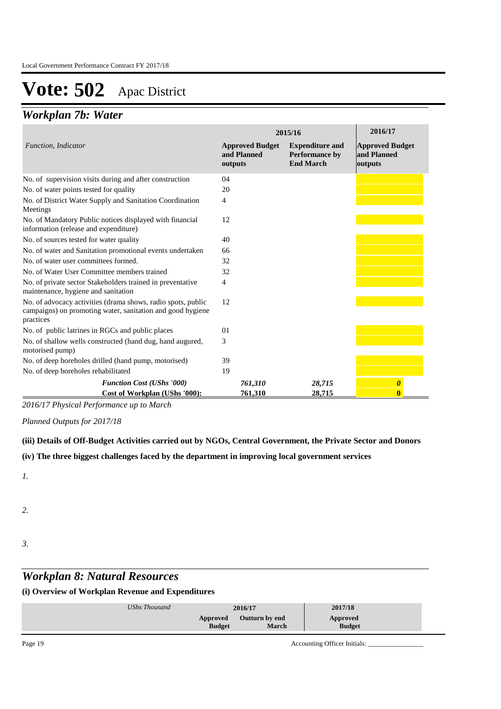## *Workplan 7b: Water*

|                                                                                                                                         | 2015/16                                          | 2016/17                                                      |                                                  |
|-----------------------------------------------------------------------------------------------------------------------------------------|--------------------------------------------------|--------------------------------------------------------------|--------------------------------------------------|
| Function, Indicator                                                                                                                     | <b>Approved Budget</b><br>and Planned<br>outputs | <b>Expenditure and</b><br>Performance by<br><b>End March</b> | <b>Approved Budget</b><br>and Planned<br>outputs |
| No. of supervision visits during and after construction                                                                                 | 04                                               |                                                              |                                                  |
| No. of water points tested for quality                                                                                                  | 20                                               |                                                              |                                                  |
| No. of District Water Supply and Sanitation Coordination<br>Meetings                                                                    | 4                                                |                                                              |                                                  |
| No. of Mandatory Public notices displayed with financial<br>information (release and expenditure)                                       | 12                                               |                                                              |                                                  |
| No. of sources tested for water quality                                                                                                 | 40                                               |                                                              |                                                  |
| No. of water and Sanitation promotional events undertaken                                                                               | 66                                               |                                                              |                                                  |
| No. of water user committees formed.                                                                                                    | 32                                               |                                                              |                                                  |
| No. of Water User Committee members trained                                                                                             | 32                                               |                                                              |                                                  |
| No. of private sector Stakeholders trained in preventative<br>maintenance, hygiene and sanitation                                       | 4                                                |                                                              |                                                  |
| No. of advocacy activities (drama shows, radio spots, public<br>campaigns) on promoting water, sanitation and good hygiene<br>practices | 12                                               |                                                              |                                                  |
| No. of public latrines in RGCs and public places                                                                                        | 01                                               |                                                              |                                                  |
| No. of shallow wells constructed (hand dug, hand augured,<br>motorised pump)                                                            | 3                                                |                                                              |                                                  |
| No. of deep boreholes drilled (hand pump, motorised)                                                                                    | 39                                               |                                                              |                                                  |
| No. of deep boreholes rehabilitated                                                                                                     | 19                                               |                                                              |                                                  |
| <b>Function Cost (UShs '000)</b><br>Cost of Workplan (UShs '000):                                                                       | 761,310<br>761,310                               | 28,715<br>28,715                                             | $\boldsymbol{\theta}$                            |

*2016/17 Physical Performance up to March*

*Planned Outputs for 2017/18* 

### **(iii) Details of Off-Budget Activities carried out by NGOs, Central Government, the Private Sector and Donors**

### **(iv) The three biggest challenges faced by the department in improving local government services**

*1.*

- *2.*
- 
- *3.*

## *Workplan 8: Natural Resources*

| UShs Thousand | 2016/17       |                       | 2017/18       |
|---------------|---------------|-----------------------|---------------|
|               | Approved      | <b>Outturn by end</b> | Approved      |
|               | <b>Budget</b> | March                 | <b>Budget</b> |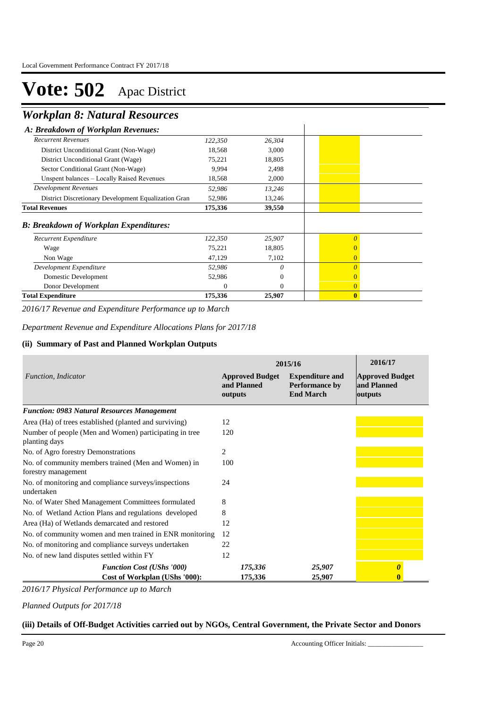## *Workplan 8: Natural Resources*

| A: Breakdown of Workplan Revenues:                   |          |                |                |
|------------------------------------------------------|----------|----------------|----------------|
| <b>Recurrent Revenues</b>                            | 122,350  | 26,304         |                |
| District Unconditional Grant (Non-Wage)              | 18,568   | 3,000          |                |
| District Unconditional Grant (Wage)                  | 75,221   | 18,805         |                |
| Sector Conditional Grant (Non-Wage)                  | 9,994    | 2,498          |                |
| Unspent balances - Locally Raised Revenues           | 18,568   | 2,000          |                |
| <b>Development Revenues</b>                          | 52,986   | 13,246         |                |
| District Discretionary Development Equalization Gran | 52,986   | 13,246         |                |
| <b>Total Revenues</b>                                | 175,336  | 39,550         |                |
| <b>B</b> : Breakdown of Workplan Expenditures:       |          |                |                |
| Recurrent Expenditure                                | 122,350  | 25,907         |                |
| Wage                                                 | 75,221   | 18,805         |                |
| Non Wage                                             | 47,129   | 7,102          | 0              |
| Development Expenditure                              | 52,986   | 0              |                |
| Domestic Development                                 | 52,986   | $\overline{0}$ |                |
| Donor Development                                    | $\Omega$ | $\Omega$       | $\overline{0}$ |
| <b>Total Expenditure</b>                             | 175,336  | 25,907         | $\mathbf{0}$   |

*2016/17 Revenue and Expenditure Performance up to March*

*Department Revenue and Expenditure Allocations Plans for 2017/18*

#### **(ii) Summary of Past and Planned Workplan Outputs**

|                                                                            | 2015/16                                          | 2016/17                                                             |                                                  |
|----------------------------------------------------------------------------|--------------------------------------------------|---------------------------------------------------------------------|--------------------------------------------------|
| Function, Indicator                                                        | <b>Approved Budget</b><br>and Planned<br>outputs | <b>Expenditure and</b><br><b>Performance by</b><br><b>End March</b> | <b>Approved Budget</b><br>and Planned<br>outputs |
| <b>Function: 0983 Natural Resources Management</b>                         |                                                  |                                                                     |                                                  |
| Area (Ha) of trees established (planted and surviving)                     | 12                                               |                                                                     |                                                  |
| Number of people (Men and Women) participating in tree<br>planting days    | 120                                              |                                                                     |                                                  |
| No. of Agro forestry Demonstrations                                        | 2                                                |                                                                     |                                                  |
| No. of community members trained (Men and Women) in<br>forestry management | 100                                              |                                                                     |                                                  |
| No. of monitoring and compliance surveys/inspections<br>undertaken         | 24                                               |                                                                     |                                                  |
| No. of Water Shed Management Committees formulated                         | 8                                                |                                                                     |                                                  |
| No. of Wetland Action Plans and regulations developed                      | 8                                                |                                                                     |                                                  |
| Area (Ha) of Wetlands demarcated and restored                              | 12                                               |                                                                     |                                                  |
| No. of community women and men trained in ENR monitoring                   | 12                                               |                                                                     |                                                  |
| No. of monitoring and compliance surveys undertaken                        | 22                                               |                                                                     |                                                  |
| No. of new land disputes settled within FY                                 | 12                                               |                                                                     |                                                  |
| <b>Function Cost (UShs '000)</b>                                           | 175,336                                          | 25,907                                                              | 0                                                |
| Cost of Workplan (UShs '000):                                              | 175,336                                          | 25,907                                                              |                                                  |

*2016/17 Physical Performance up to March*

*Planned Outputs for 2017/18* 

### **(iii) Details of Off-Budget Activities carried out by NGOs, Central Government, the Private Sector and Donors**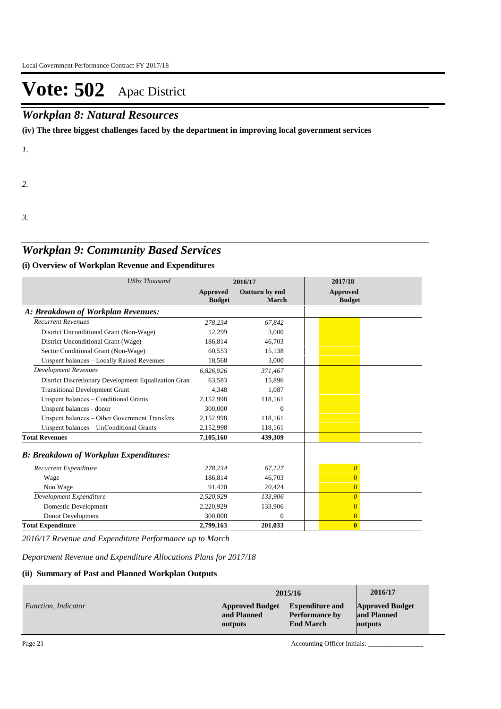### *Workplan 8: Natural Resources*

**(iv) The three biggest challenges faced by the department in improving local government services**

*1.*

*2.*

*3.*

### *Workplan 9: Community Based Services*

### **(i) Overview of Workplan Revenue and Expenditures**

| <b>UShs Thousand</b>                                 | 2016/17                   |                         | 2017/18                          |
|------------------------------------------------------|---------------------------|-------------------------|----------------------------------|
|                                                      | Approved<br><b>Budget</b> | Outturn by end<br>March | <b>Approved</b><br><b>Budget</b> |
| A: Breakdown of Workplan Revenues:                   |                           |                         |                                  |
| <b>Recurrent Revenues</b>                            | 278,234                   | 67,842                  |                                  |
| District Unconditional Grant (Non-Wage)              | 12,299                    | 3,000                   |                                  |
| District Unconditional Grant (Wage)                  | 186,814                   | 46,703                  |                                  |
| Sector Conditional Grant (Non-Wage)                  | 60.553                    | 15,138                  |                                  |
| Unspent balances - Locally Raised Revenues           | 18,568                    | 3,000                   |                                  |
| <b>Development Revenues</b>                          | 6.826.926                 | 371,467                 |                                  |
| District Discretionary Development Equalization Gran | 63,583                    | 15,896                  |                                  |
| <b>Transitional Development Grant</b>                | 4,348                     | 1,087                   |                                  |
| Unspent balances - Conditional Grants                | 2,152,998                 | 118,161                 |                                  |
| Unspent balances - donor                             | 300,000                   | $\Omega$                |                                  |
| Unspent balances - Other Government Transfers        | 2,152,998                 | 118,161                 |                                  |
| Unspent balances - UnConditional Grants              | 2,152,998                 | 118,161                 |                                  |
| <b>Total Revenues</b>                                | 7,105,160                 | 439,309                 |                                  |
| <b>B: Breakdown of Workplan Expenditures:</b>        |                           |                         |                                  |
| Recurrent Expenditure                                | 278,234                   | 67.127                  | $\boldsymbol{\theta}$            |
| Wage                                                 | 186.814                   | 46.703                  | $\overline{0}$                   |
| Non Wage                                             | 91,420                    | 20,424                  | $\overline{0}$                   |
| Development Expenditure                              | 2,520,929                 | 133,906                 | $\overline{\theta}$              |
| Domestic Development                                 | 2,220,929                 | 133,906                 | $\overline{0}$                   |
| Donor Development                                    | 300,000                   | $\mathbf{0}$            | $\overline{0}$                   |
| <b>Total Expenditure</b>                             | 2,799,163                 | 201,033                 | $\bf{0}$                         |

*2016/17 Revenue and Expenditure Performance up to March*

*Department Revenue and Expenditure Allocations Plans for 2017/18*

#### **(ii) Summary of Past and Planned Workplan Outputs**

|                            | 2015/16                | 2016/17                |                        |
|----------------------------|------------------------|------------------------|------------------------|
| <i>Function, Indicator</i> | <b>Approved Budget</b> | <b>Expenditure and</b> | <b>Approved Budget</b> |
|                            | and Planned            | <b>Performance by</b>  | and Planned            |
|                            | outputs                | <b>End March</b>       | <b>outputs</b>         |

Page 21 Accounting Officer Initials: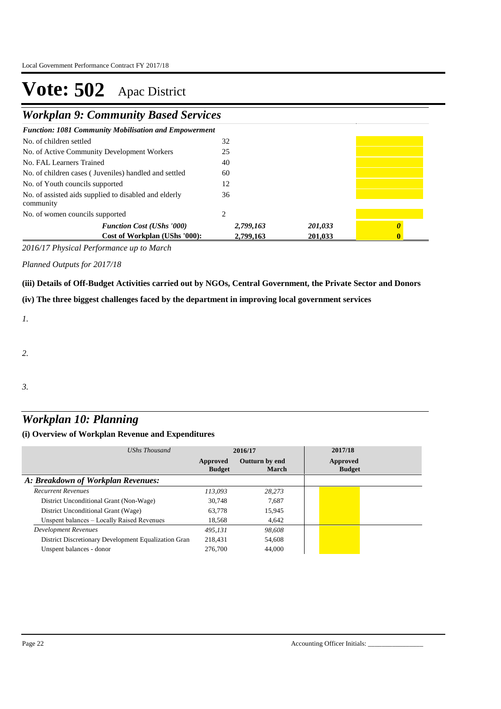*Workplan 9: Community Based Services*

| <b>Function: 1081 Community Mobilisation and Empowerment</b>       |                        |                    |  |
|--------------------------------------------------------------------|------------------------|--------------------|--|
| No. of children settled                                            | 32                     |                    |  |
| No. of Active Community Development Workers                        | 25                     |                    |  |
| No. FAL Learners Trained                                           | 40                     |                    |  |
| No. of children cases (Juveniles) handled and settled              | 60                     |                    |  |
| No. of Youth councils supported                                    | 12                     |                    |  |
| No. of assisted aids supplied to disabled and elderly<br>community | 36                     |                    |  |
| No. of women councils supported                                    | 2                      |                    |  |
| <b>Function Cost (UShs '000)</b><br>Cost of Workplan (UShs '000):  | 2,799,163<br>2,799,163 | 201,033<br>201,033 |  |

*2016/17 Physical Performance up to March*

*Planned Outputs for 2017/18* 

**(iii) Details of Off-Budget Activities carried out by NGOs, Central Government, the Private Sector and Donors** 

**(iv) The three biggest challenges faced by the department in improving local government services**

*1.*

*2.*

*3.*

## *Workplan 10: Planning*

| UShs Thousand                                        | 2016/17                   |                                | 2017/18                   |  |
|------------------------------------------------------|---------------------------|--------------------------------|---------------------------|--|
|                                                      | Approved<br><b>Budget</b> | Outturn by end<br><b>March</b> | Approved<br><b>Budget</b> |  |
| A: Breakdown of Workplan Revenues:                   |                           |                                |                           |  |
| <b>Recurrent Revenues</b>                            | 113.093                   | 28.273                         |                           |  |
| District Unconditional Grant (Non-Wage)              | 30.748                    | 7,687                          |                           |  |
| District Unconditional Grant (Wage)                  | 63.778                    | 15,945                         |                           |  |
| Unspent balances - Locally Raised Revenues           | 18,568                    | 4,642                          |                           |  |
| <b>Development Revenues</b>                          | 495.131                   | 98,608                         |                           |  |
| District Discretionary Development Equalization Gran | 218.431                   | 54,608                         |                           |  |
| Unspent balances - donor                             | 276,700                   | 44,000                         |                           |  |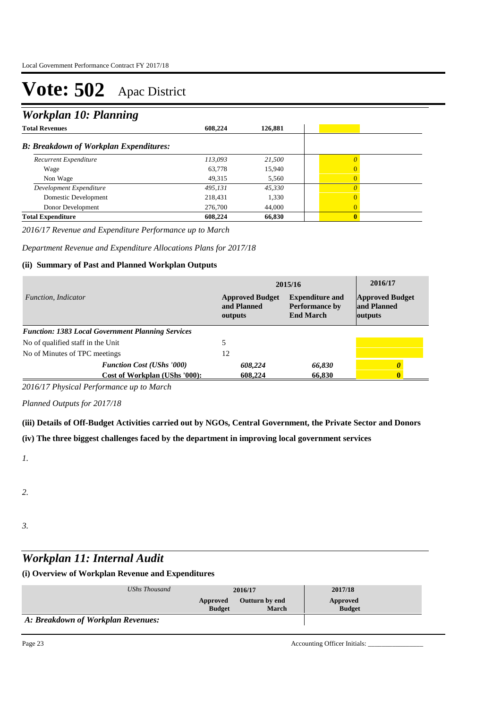## *Workplan 10: Planning*

| ິ                                             |         |         |                |
|-----------------------------------------------|---------|---------|----------------|
| <b>Total Revenues</b>                         | 608.224 | 126,881 |                |
| <b>B: Breakdown of Workplan Expenditures:</b> |         |         |                |
| Recurrent Expenditure                         | 113,093 | 21,500  | $\theta$       |
| Wage                                          | 63,778  | 15,940  | $\overline{0}$ |
| Non Wage                                      | 49,315  | 5,560   | $\overline{0}$ |
| Development Expenditure                       | 495,131 | 45,330  | $\Omega$       |
| Domestic Development                          | 218,431 | 1,330   | $\Omega$       |
| Donor Development                             | 276,700 | 44,000  | $\Omega$       |
| <b>Total Expenditure</b>                      | 608,224 | 66,830  | $\mathbf{0}$   |

*2016/17 Revenue and Expenditure Performance up to March*

*Department Revenue and Expenditure Allocations Plans for 2017/18*

### **(ii) Summary of Past and Planned Workplan Outputs**

| Function, Indicator                                      |                                  | 2015/16                                          | 2016/17                                                             |                                                  |
|----------------------------------------------------------|----------------------------------|--------------------------------------------------|---------------------------------------------------------------------|--------------------------------------------------|
|                                                          |                                  | <b>Approved Budget</b><br>and Planned<br>outputs | <b>Expenditure and</b><br><b>Performance by</b><br><b>End March</b> | <b>Approved Budget</b><br>and Planned<br>outputs |
| <b>Function: 1383 Local Government Planning Services</b> |                                  |                                                  |                                                                     |                                                  |
| No of qualified staff in the Unit                        |                                  |                                                  |                                                                     |                                                  |
| No of Minutes of TPC meetings                            |                                  | 12                                               |                                                                     |                                                  |
|                                                          | <b>Function Cost (UShs '000)</b> | 608,224                                          | 66,830                                                              |                                                  |
|                                                          | Cost of Workplan (UShs '000):    | 608,224                                          | 66.830                                                              |                                                  |

*2016/17 Physical Performance up to March*

*Planned Outputs for 2017/18* 

**(iii) Details of Off-Budget Activities carried out by NGOs, Central Government, the Private Sector and Donors** 

**(iv) The three biggest challenges faced by the department in improving local government services**

*1.*

*2.*

*3.*

### *Workplan 11: Internal Audit*

| UShs Thousand                      | 2016/17                   |                                       | 2017/18                   |
|------------------------------------|---------------------------|---------------------------------------|---------------------------|
|                                    | Approved<br><b>Budget</b> | <b>Outturn by end</b><br><b>March</b> | Approved<br><b>Budget</b> |
| A: Breakdown of Workplan Revenues: |                           |                                       |                           |